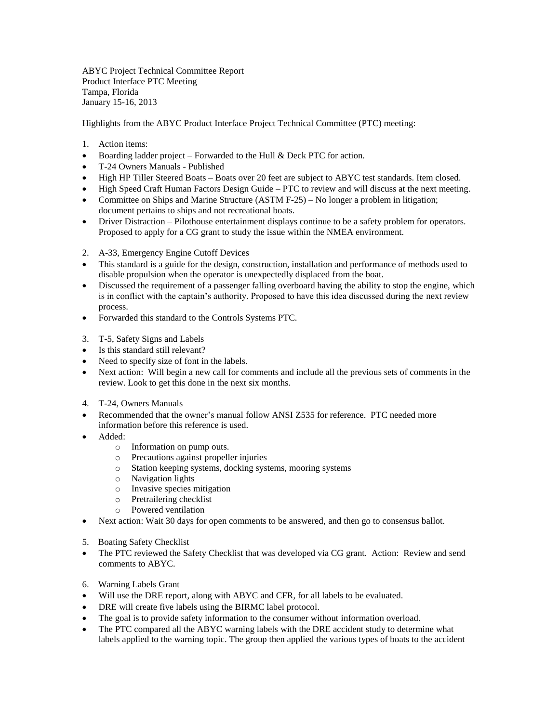ABYC Project Technical Committee Report Product Interface PTC Meeting Tampa, Florida January 15-16, 2013

Highlights from the ABYC Product Interface Project Technical Committee (PTC) meeting:

- 1. Action items:
- Boarding ladder project Forwarded to the Hull & Deck PTC for action.
- T-24 Owners Manuals Published
- High HP Tiller Steered Boats Boats over 20 feet are subject to ABYC test standards. Item closed.
- High Speed Craft Human Factors Design Guide PTC to review and will discuss at the next meeting.
- Committee on Ships and Marine Structure (ASTM F-25) No longer a problem in litigation; document pertains to ships and not recreational boats.
- Driver Distraction Pilothouse entertainment displays continue to be a safety problem for operators. Proposed to apply for a CG grant to study the issue within the NMEA environment.
- 2. A-33, Emergency Engine Cutoff Devices
- This standard is a guide for the design, construction, installation and performance of methods used to disable propulsion when the operator is unexpectedly displaced from the boat.
- Discussed the requirement of a passenger falling overboard having the ability to stop the engine, which is in conflict with the captain's authority. Proposed to have this idea discussed during the next review process.
- Forwarded this standard to the Controls Systems PTC.
- 3. T-5, Safety Signs and Labels
- Is this standard still relevant?
- Need to specify size of font in the labels.
- Next action: Will begin a new call for comments and include all the previous sets of comments in the review. Look to get this done in the next six months.
- 4. T-24, Owners Manuals
- Recommended that the owner's manual follow ANSI Z535 for reference. PTC needed more information before this reference is used.
- Added:
	- o Information on pump outs.
	- o Precautions against propeller injuries
	- o Station keeping systems, docking systems, mooring systems
	- o Navigation lights
	- o Invasive species mitigation
	- o Pretrailering checklist
	- o Powered ventilation
- Next action: Wait 30 days for open comments to be answered, and then go to consensus ballot.
- 5. Boating Safety Checklist
- The PTC reviewed the Safety Checklist that was developed via CG grant. Action: Review and send comments to ABYC.
- 6. Warning Labels Grant
- Will use the DRE report, along with ABYC and CFR, for all labels to be evaluated.
- DRE will create five labels using the BIRMC label protocol.
- The goal is to provide safety information to the consumer without information overload.
- The PTC compared all the ABYC warning labels with the DRE accident study to determine what labels applied to the warning topic. The group then applied the various types of boats to the accident